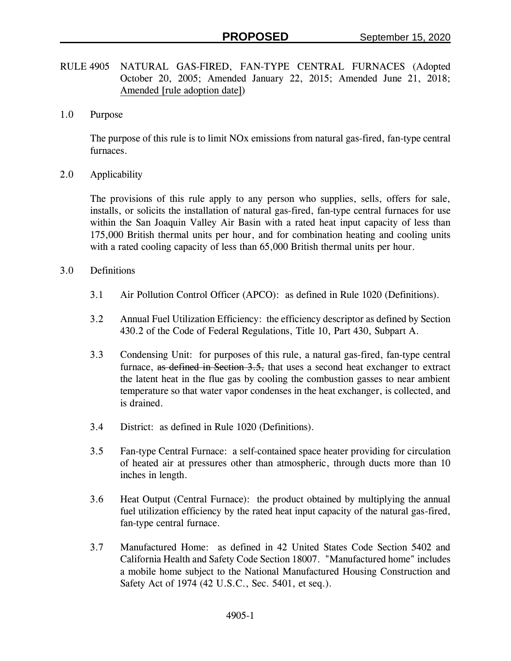- RULE 4905 NATURAL GAS-FIRED, FAN-TYPE CENTRAL FURNACES (Adopted October 20, 2005; Amended January 22, 2015; Amended June 21, 2018; Amended [rule adoption date])
- 1.0 Purpose

The purpose of this rule is to limit NOx emissions from natural gas-fired, fan-type central furnaces.

2.0 Applicability

The provisions of this rule apply to any person who supplies, sells, offers for sale, installs, or solicits the installation of natural gas-fired, fan-type central furnaces for use within the San Joaquin Valley Air Basin with a rated heat input capacity of less than 175,000 British thermal units per hour, and for combination heating and cooling units with a rated cooling capacity of less than 65,000 British thermal units per hour.

- 3.0 Definitions
	- 3.1 Air Pollution Control Officer (APCO): as defined in Rule 1020 (Definitions).
	- 3.2 Annual Fuel Utilization Efficiency: the efficiency descriptor as defined by Section 430.2 of the Code of Federal Regulations, Title 10, Part 430, Subpart A.
	- 3.3 Condensing Unit: for purposes of this rule, a natural gas-fired, fan-type central furnace, as defined in Section 3.5, that uses a second heat exchanger to extract the latent heat in the flue gas by cooling the combustion gasses to near ambient temperature so that water vapor condenses in the heat exchanger, is collected, and is drained.
	- 3.4 District: as defined in Rule 1020 (Definitions).
	- 3.5 Fan-type Central Furnace: a self-contained space heater providing for circulation of heated air at pressures other than atmospheric, through ducts more than 10 inches in length.
	- 3.6 Heat Output (Central Furnace): the product obtained by multiplying the annual fuel utilization efficiency by the rated heat input capacity of the natural gas-fired, fan-type central furnace.
	- 3.7 Manufactured Home: as defined in 42 United States Code Section 5402 and California Health and Safety Code Section 18007. "Manufactured home" includes a mobile home subject to the National Manufactured Housing Construction and Safety Act of 1974 (42 U.S.C., Sec. 5401, et seq.).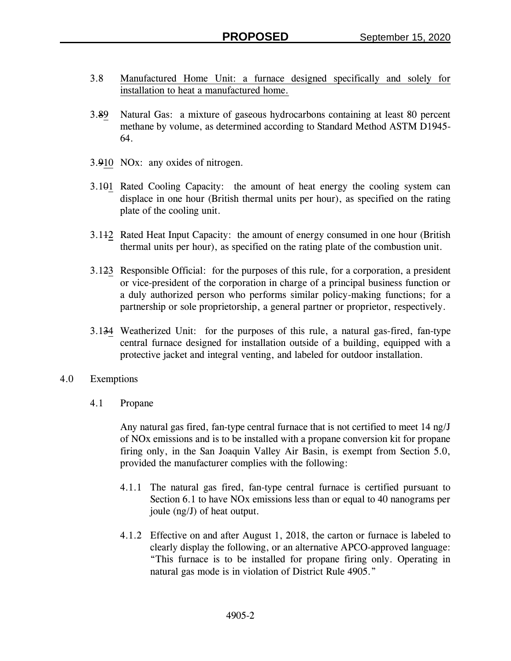- 3.8 Manufactured Home Unit: a furnace designed specifically and solely for installation to heat a manufactured home.
- 3.89 Natural Gas: a mixture of gaseous hydrocarbons containing at least 80 percent methane by volume, as determined according to Standard Method ASTM D1945- 64.
- 3.910 NOx: any oxides of nitrogen.
- 3.101 Rated Cooling Capacity: the amount of heat energy the cooling system can displace in one hour (British thermal units per hour), as specified on the rating plate of the cooling unit.
- 3.112 Rated Heat Input Capacity: the amount of energy consumed in one hour (British thermal units per hour), as specified on the rating plate of the combustion unit.
- 3.123 Responsible Official: for the purposes of this rule, for a corporation, a president or vice-president of the corporation in charge of a principal business function or a duly authorized person who performs similar policy-making functions; for a partnership or sole proprietorship, a general partner or proprietor, respectively.
- 3.134 Weatherized Unit: for the purposes of this rule, a natural gas-fired, fan-type central furnace designed for installation outside of a building, equipped with a protective jacket and integral venting, and labeled for outdoor installation.
- 4.0 Exemptions
	- 4.1 Propane

Any natural gas fired, fan-type central furnace that is not certified to meet 14 ng/J of NOx emissions and is to be installed with a propane conversion kit for propane firing only, in the San Joaquin Valley Air Basin, is exempt from Section 5.0, provided the manufacturer complies with the following:

- 4.1.1 The natural gas fired, fan-type central furnace is certified pursuant to Section 6.1 to have NOx emissions less than or equal to 40 nanograms per joule (ng/J) of heat output.
- 4.1.2 Effective on and after August 1, 2018, the carton or furnace is labeled to clearly display the following, or an alternative APCO-approved language: "This furnace is to be installed for propane firing only. Operating in natural gas mode is in violation of District Rule 4905."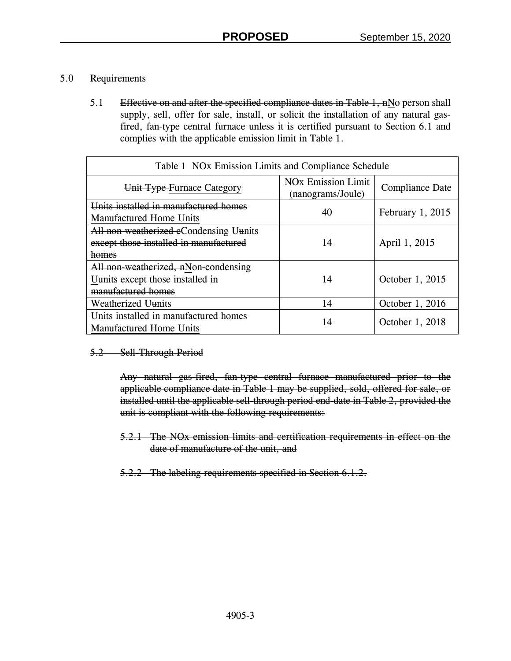## 5.0 Requirements

5.1 Effective on and after the specified compliance dates in Table 1, nNo person shall supply, sell, offer for sale, install, or solicit the installation of any natural gasfired, fan-type central furnace unless it is certified pursuant to Section 6.1 and complies with the applicable emission limit in Table 1.

| Table 1 NO <sub>x</sub> Emission Limits and Compliance Schedule                                |                                                           |                    |  |  |  |  |
|------------------------------------------------------------------------------------------------|-----------------------------------------------------------|--------------------|--|--|--|--|
| Unit Type-Furnace Category                                                                     | <b>NO<sub>x</sub></b> Emission Limit<br>(nanograms/Joule) | Compliance Date    |  |  |  |  |
| Units installed in manufactured homes<br><b>Manufactured Home Units</b>                        | 40                                                        | February $1, 2015$ |  |  |  |  |
| All non-weatherized eCondensing Uunits<br>except those installed in manufactured<br>homes      | 14                                                        | April 1, 2015      |  |  |  |  |
| All non-weatherized, nNon-condensing<br>Uunits except those installed in<br>manufactured homes | 14                                                        | October 1, 2015    |  |  |  |  |
| <b>Weatherized Uunits</b>                                                                      | 14                                                        | October 1, 2016    |  |  |  |  |
| Units installed in manufactured homes<br><b>Manufactured Home Units</b>                        | 14                                                        | October 1, 2018    |  |  |  |  |

## 5.2 Sell-Through Period

Any natural gas-fired, fan-type central furnace manufactured prior to the applicable compliance date in Table 1 may be supplied, sold, offered for sale, or installed until the applicable sell-through period end-date in Table 2, provided the unit is compliant with the following requirements:

- 5.2.1 The NOx emission limits and certification requirements in effect on the date of manufacture of the unit, and
- 5.2.2 The labeling requirements specified in Section 6.1.2.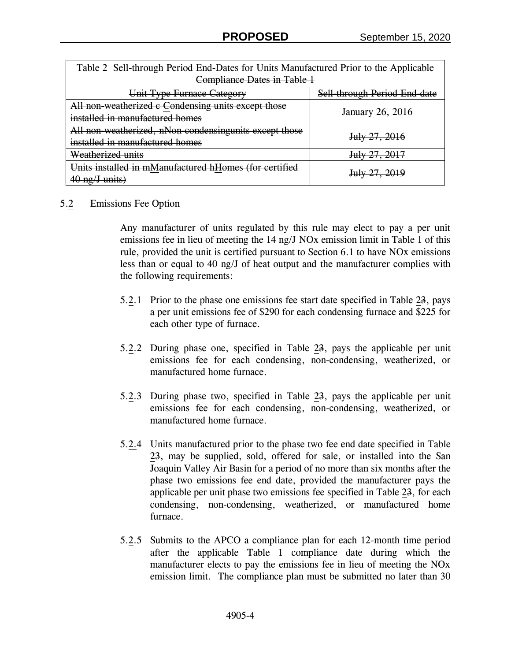| Table 2 Sell-through Period End-Dates for Units Manufactured Prior to the Applicable |                              |  |  |  |  |
|--------------------------------------------------------------------------------------|------------------------------|--|--|--|--|
| Compliance Dates in Table 1                                                          |                              |  |  |  |  |
| Unit Type Furnace Category                                                           | Sell-through Period End-date |  |  |  |  |
| All non-weatherized c Condensing units except those                                  | January 26, 2016             |  |  |  |  |
| installed in manufactured homes                                                      |                              |  |  |  |  |
| All non-weatherized, nNon-condensingunits except those                               | July 27, 2016                |  |  |  |  |
| installed in manufactured homes                                                      |                              |  |  |  |  |
| <del>Weatherized units</del>                                                         | July 27, 2017                |  |  |  |  |
| Units installed in mManufactured hHomes (for certified                               | July 27, 2019                |  |  |  |  |
| 40 ng/J units)                                                                       |                              |  |  |  |  |

## 5.2 Emissions Fee Option

Any manufacturer of units regulated by this rule may elect to pay a per unit emissions fee in lieu of meeting the 14 ng/J NOx emission limit in Table 1 of this rule, provided the unit is certified pursuant to Section 6.1 to have NOx emissions less than or equal to 40 ng/J of heat output and the manufacturer complies with the following requirements:

- 5.2.1 Prior to the phase one emissions fee start date specified in Table 23, pays a per unit emissions fee of \$290 for each condensing furnace and \$225 for each other type of furnace.
- 5.2.2 During phase one, specified in Table 23, pays the applicable per unit emissions fee for each condensing, non-condensing, weatherized, or manufactured home furnace.
- 5.2.3 During phase two, specified in Table 23, pays the applicable per unit emissions fee for each condensing, non-condensing, weatherized, or manufactured home furnace.
- 5.2.4 Units manufactured prior to the phase two fee end date specified in Table 23, may be supplied, sold, offered for sale, or installed into the San Joaquin Valley Air Basin for a period of no more than six months after the phase two emissions fee end date, provided the manufacturer pays the applicable per unit phase two emissions fee specified in Table 23, for each condensing, non-condensing, weatherized, or manufactured home furnace.
- 5.2.5 Submits to the APCO a compliance plan for each 12-month time period after the applicable Table 1 compliance date during which the manufacturer elects to pay the emissions fee in lieu of meeting the NOx emission limit. The compliance plan must be submitted no later than 30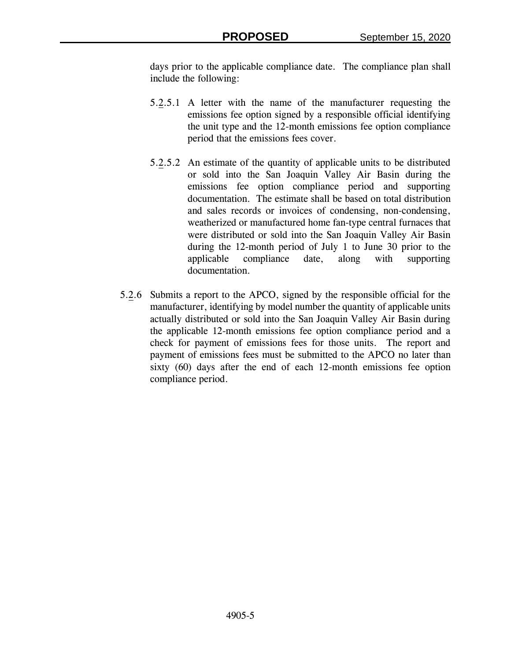days prior to the applicable compliance date. The compliance plan shall include the following:

- 5.2.5.1 A letter with the name of the manufacturer requesting the emissions fee option signed by a responsible official identifying the unit type and the 12-month emissions fee option compliance period that the emissions fees cover.
- 5.2.5.2 An estimate of the quantity of applicable units to be distributed or sold into the San Joaquin Valley Air Basin during the emissions fee option compliance period and supporting documentation. The estimate shall be based on total distribution and sales records or invoices of condensing, non-condensing, weatherized or manufactured home fan-type central furnaces that were distributed or sold into the San Joaquin Valley Air Basin during the 12-month period of July 1 to June 30 prior to the applicable compliance date, along with supporting documentation.
- 5.2.6 Submits a report to the APCO, signed by the responsible official for the manufacturer, identifying by model number the quantity of applicable units actually distributed or sold into the San Joaquin Valley Air Basin during the applicable 12-month emissions fee option compliance period and a check for payment of emissions fees for those units. The report and payment of emissions fees must be submitted to the APCO no later than sixty (60) days after the end of each 12-month emissions fee option compliance period.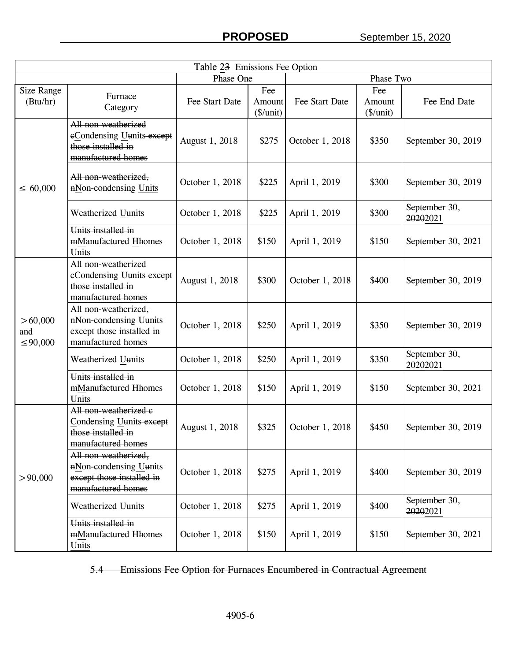| Table 23 Emissions Fee Option    |                                                                                                   |                 |                              |                 |                            |                           |  |  |
|----------------------------------|---------------------------------------------------------------------------------------------------|-----------------|------------------------------|-----------------|----------------------------|---------------------------|--|--|
|                                  |                                                                                                   | Phase One       |                              | Phase Two       |                            |                           |  |  |
| Size Range<br>(Btu/hr)           | Furnace<br>Category                                                                               | Fee Start Date  | Fee<br>Amount<br>$(\$/unit)$ | Fee Start Date  | Fee<br>Amount<br>(\$/unit) | Fee End Date              |  |  |
| $\leq 60,000$                    | All non-weatherized<br>eCondensing Uunits-except<br>those installed in<br>manufactured homes      | August 1, 2018  | \$275                        | October 1, 2018 | \$350                      | September 30, 2019        |  |  |
|                                  | All non weatherized,<br>nNon-condensing Units                                                     | October 1, 2018 | \$225                        | April 1, 2019   | \$300                      | September 30, 2019        |  |  |
|                                  | Weatherized Uunits                                                                                | October 1, 2018 | \$225                        | April 1, 2019   | \$300                      | September 30,<br>20202021 |  |  |
|                                  | Units installed in<br>mManufactured Hhomes<br>Units                                               | October 1, 2018 | \$150                        | April 1, 2019   | \$150                      | September 30, 2021        |  |  |
| > 60,000<br>and<br>$\leq 90,000$ | All non weatherized<br>eCondensing Uunits-except<br>those installed in<br>manufactured homes      | August 1, 2018  | \$300                        | October 1, 2018 | \$400                      | September 30, 2019        |  |  |
|                                  | All non weatherized,<br>nNon-condensing Uunits<br>except those installed in<br>manufactured homes | October 1, 2018 | \$250                        | April 1, 2019   | \$350                      | September 30, 2019        |  |  |
|                                  | Weatherized Uunits                                                                                | October 1, 2018 | \$250                        | April 1, 2019   | \$350                      | September 30,<br>20202021 |  |  |
|                                  | Units installed in<br>mManufactured Hhomes<br>Units                                               | October 1, 2018 | \$150                        | April 1, 2019   | \$150                      | September 30, 2021        |  |  |
| > 90,000                         | All non weatherized e<br>Condensing Uunits-except<br>those installed in<br>manufactured homes     | August 1, 2018  | \$325                        | October 1, 2018 | \$450                      | September 30, 2019        |  |  |
|                                  | All non-weatherized,<br>nNon-condensing Uunits<br>except those installed in<br>manufactured homes | October 1, 2018 | \$275                        | April 1, 2019   | \$400                      | September 30, 2019        |  |  |
|                                  | Weatherized Uunits                                                                                | October 1, 2018 | \$275                        | April 1, 2019   | \$400                      | September 30,<br>20202021 |  |  |
|                                  | Units installed in<br>mManufactured Hhomes<br>Units                                               | October 1, 2018 | \$150                        | April 1, 2019   | \$150                      | September 30, 2021        |  |  |

5.4 Emissions Fee Option for Furnaces Encumbered in Contractual Agreement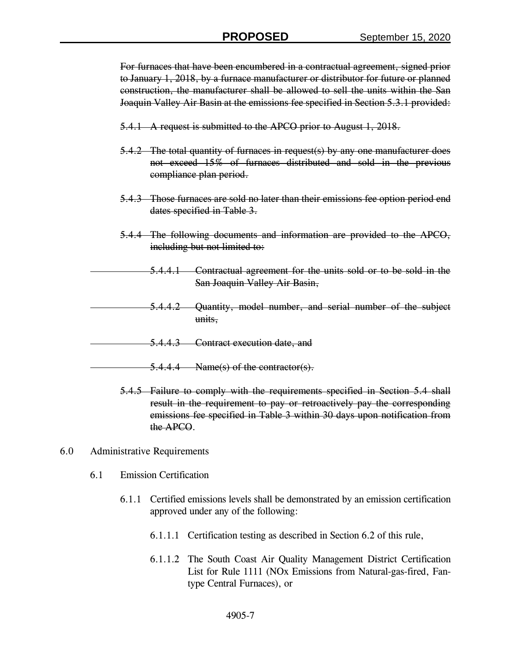For furnaces that have been encumbered in a contractual agreement, signed prior to January 1, 2018, by a furnace manufacturer or distributor for future or planned construction, the manufacturer shall be allowed to sell the units within the San Joaquin Valley Air Basin at the emissions fee specified in Section 5.3.1 provided:

- 5.4.1 A request is submitted to the APCO prior to August 1, 2018.
- 5.4.2 The total quantity of furnaces in request(s) by any one manufacturer does not exceed 15% of furnaces distributed and sold in the previous compliance plan period.
- 5.4.3 Those furnaces are sold no later than their emissions fee option period end dates specified in Table 3.
- 5.4.4 The following documents and information are provided to the APCO, including but not limited to:
	- 5.4.4.1 Contractual agreement for the units sold or to be sold in the San Joaquin Valley Air Basin,
- 5.4.4.2 Quantity, model number, and serial number of the subject units,
- 5.4.4.3 Contract execution date, and
- 5.4.4.4 Name(s) of the contractor(s).
	- 5.4.5 Failure to comply with the requirements specified in Section 5.4 shall result in the requirement to pay or retroactively pay the corresponding emissions fee specified in Table 3 within 30 days upon notification from the APCO.
- 6.0 Administrative Requirements
	- 6.1 Emission Certification
		- 6.1.1 Certified emissions levels shall be demonstrated by an emission certification approved under any of the following:
			- 6.1.1.1 Certification testing as described in Section 6.2 of this rule,
			- 6.1.1.2 The South Coast Air Quality Management District Certification List for Rule 1111 (NOx Emissions from Natural-gas-fired, Fantype Central Furnaces), or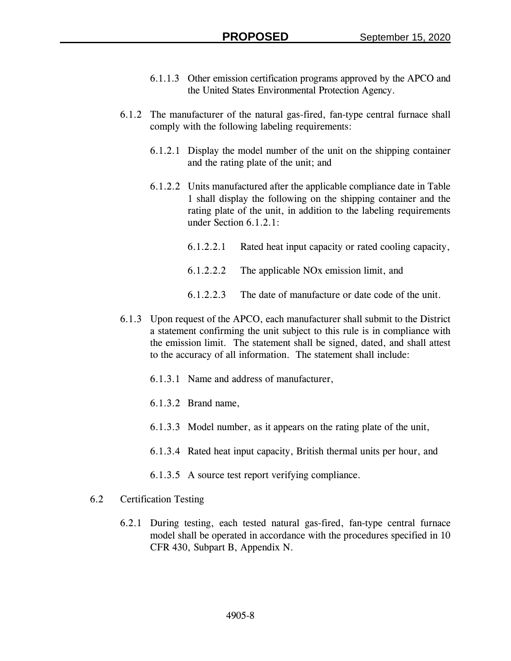- 6.1.1.3 Other emission certification programs approved by the APCO and the United States Environmental Protection Agency.
- 6.1.2 The manufacturer of the natural gas-fired, fan-type central furnace shall comply with the following labeling requirements:
	- 6.1.2.1 Display the model number of the unit on the shipping container and the rating plate of the unit; and
	- 6.1.2.2 Units manufactured after the applicable compliance date in Table 1 shall display the following on the shipping container and the rating plate of the unit, in addition to the labeling requirements under Section 6.1.2.1:
		- 6.1.2.2.1 Rated heat input capacity or rated cooling capacity,
		- 6.1.2.2.2 The applicable NOx emission limit, and
		- 6.1.2.2.3 The date of manufacture or date code of the unit.
- 6.1.3 Upon request of the APCO, each manufacturer shall submit to the District a statement confirming the unit subject to this rule is in compliance with the emission limit. The statement shall be signed, dated, and shall attest to the accuracy of all information. The statement shall include:
	- 6.1.3.1 Name and address of manufacturer,
	- 6.1.3.2 Brand name,
	- 6.1.3.3 Model number, as it appears on the rating plate of the unit,
	- 6.1.3.4 Rated heat input capacity, British thermal units per hour, and
	- 6.1.3.5 A source test report verifying compliance.
- 6.2 Certification Testing
	- 6.2.1 During testing, each tested natural gas-fired, fan-type central furnace model shall be operated in accordance with the procedures specified in 10 CFR 430, Subpart B, Appendix N.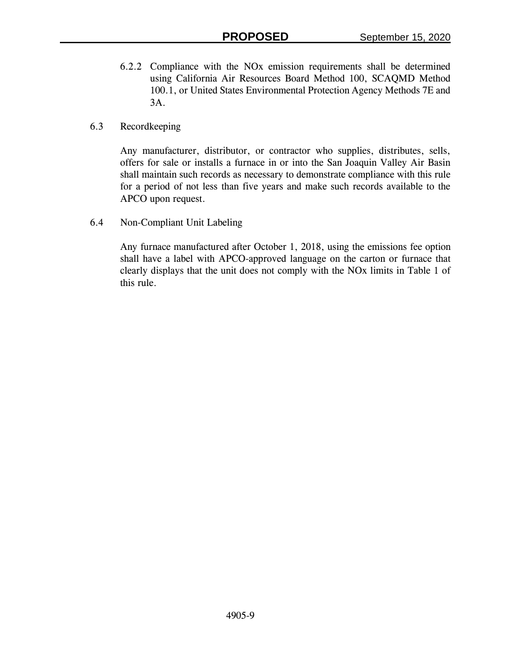- 6.2.2 Compliance with the NOx emission requirements shall be determined using California Air Resources Board Method 100, SCAQMD Method 100.1, or United States Environmental Protection Agency Methods 7E and 3A.
- 6.3 Recordkeeping

Any manufacturer, distributor, or contractor who supplies, distributes, sells, offers for sale or installs a furnace in or into the San Joaquin Valley Air Basin shall maintain such records as necessary to demonstrate compliance with this rule for a period of not less than five years and make such records available to the APCO upon request.

6.4 Non-Compliant Unit Labeling

Any furnace manufactured after October 1, 2018, using the emissions fee option shall have a label with APCO-approved language on the carton or furnace that clearly displays that the unit does not comply with the NOx limits in Table 1 of this rule.